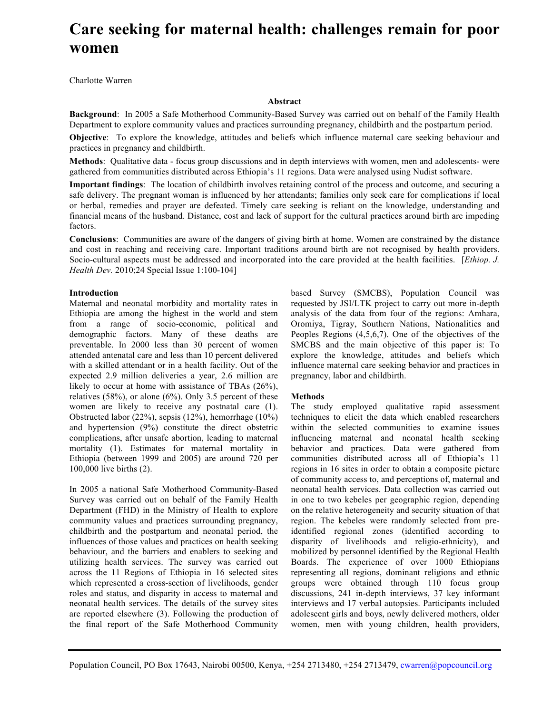# **Care seeking for maternal health: challenges remain for poor women**

Charlotte Warren

### **Abstract**

**Background**: In 2005 a Safe Motherhood Community-Based Survey was carried out on behalf of the Family Health Department to explore community values and practices surrounding pregnancy, childbirth and the postpartum period.

**Objective**: To explore the knowledge, attitudes and beliefs which influence maternal care seeking behaviour and practices in pregnancy and childbirth.

**Methods**: Qualitative data - focus group discussions and in depth interviews with women, men and adolescents- were gathered from communities distributed across Ethiopia's 11 regions. Data were analysed using Nudist software.

**Important findings**: The location of childbirth involves retaining control of the process and outcome, and securing a safe delivery. The pregnant woman is influenced by her attendants; families only seek care for complications if local or herbal, remedies and prayer are defeated. Timely care seeking is reliant on the knowledge, understanding and financial means of the husband. Distance, cost and lack of support for the cultural practices around birth are impeding factors.

**Conclusions**: Communities are aware of the dangers of giving birth at home. Women are constrained by the distance and cost in reaching and receiving care. Important traditions around birth are not recognised by health providers. Socio-cultural aspects must be addressed and incorporated into the care provided at the health facilities. [*Ethiop. J. Health Dev.* 2010;24 Special Issue 1:100-104]

### **Introduction**

Maternal and neonatal morbidity and mortality rates in Ethiopia are among the highest in the world and stem from a range of socio-economic, political and demographic factors. Many of these deaths are preventable. In 2000 less than 30 percent of women attended antenatal care and less than 10 percent delivered with a skilled attendant or in a health facility. Out of the expected 2.9 million deliveries a year, 2.6 million are likely to occur at home with assistance of TBAs (26%), relatives  $(58\%)$ , or alone  $(6\%)$ . Only 3.5 percent of these women are likely to receive any postnatal care (1). Obstructed labor (22%), sepsis (12%), hemorrhage (10%) and hypertension (9%) constitute the direct obstetric complications, after unsafe abortion, leading to maternal mortality (1). Estimates for maternal mortality in Ethiopia (between 1999 and 2005) are around 720 per 100,000 live births (2).

In 2005 a national Safe Motherhood Community-Based Survey was carried out on behalf of the Family Health Department (FHD) in the Ministry of Health to explore community values and practices surrounding pregnancy, childbirth and the postpartum and neonatal period, the influences of those values and practices on health seeking behaviour, and the barriers and enablers to seeking and utilizing health services. The survey was carried out across the 11 Regions of Ethiopia in 16 selected sites which represented a cross-section of livelihoods, gender roles and status, and disparity in access to maternal and neonatal health services. The details of the survey sites are reported elsewhere (3). Following the production of the final report of the Safe Motherhood Community based Survey (SMCBS), Population Council was requested by JSI/LTK project to carry out more in-depth analysis of the data from four of the regions: Amhara, Oromiya, Tigray, Southern Nations, Nationalities and Peoples Regions (4,5,6,7). One of the objectives of the SMCBS and the main objective of this paper is: To explore the knowledge, attitudes and beliefs which influence maternal care seeking behavior and practices in pregnancy, labor and childbirth.

#### **Methods**

The study employed qualitative rapid assessment techniques to elicit the data which enabled researchers within the selected communities to examine issues influencing maternal and neonatal health seeking behavior and practices. Data were gathered from communities distributed across all of Ethiopia's 11 regions in 16 sites in order to obtain a composite picture of community access to, and perceptions of, maternal and neonatal health services. Data collection was carried out in one to two kebeles per geographic region, depending on the relative heterogeneity and security situation of that region. The kebeles were randomly selected from preidentified regional zones (identified according to disparity of livelihoods and religio-ethnicity), and mobilized by personnel identified by the Regional Health Boards. The experience of over 1000 Ethiopians representing all regions, dominant religions and ethnic groups were obtained through 110 focus group discussions, 241 in-depth interviews, 37 key informant interviews and 17 verbal autopsies. Participants included adolescent girls and boys, newly delivered mothers, older women, men with young children, health providers,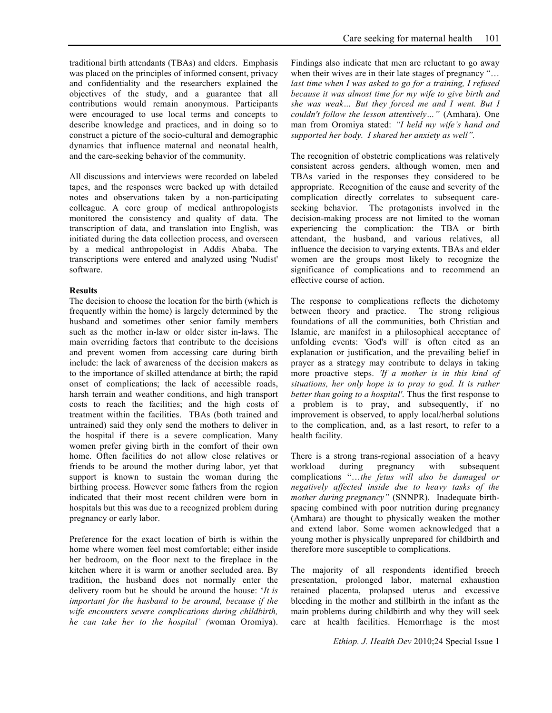traditional birth attendants (TBAs) and elders. Emphasis was placed on the principles of informed consent, privacy and confidentiality and the researchers explained the objectives of the study, and a guarantee that all contributions would remain anonymous. Participants were encouraged to use local terms and concepts to describe knowledge and practices, and in doing so to construct a picture of the socio-cultural and demographic dynamics that influence maternal and neonatal health, and the care-seeking behavior of the community.

All discussions and interviews were recorded on labeled tapes, and the responses were backed up with detailed notes and observations taken by a non-participating colleague. A core group of medical anthropologists monitored the consistency and quality of data. The transcription of data, and translation into English, was initiated during the data collection process, and overseen by a medical anthropologist in Addis Ababa. The transcriptions were entered and analyzed using 'Nudist' software.

### **Results**

The decision to choose the location for the birth (which is frequently within the home) is largely determined by the husband and sometimes other senior family members such as the mother in-law or older sister in-laws. The main overriding factors that contribute to the decisions and prevent women from accessing care during birth include: the lack of awareness of the decision makers as to the importance of skilled attendance at birth; the rapid onset of complications; the lack of accessible roads, harsh terrain and weather conditions, and high transport costs to reach the facilities; and the high costs of treatment within the facilities. TBAs (both trained and untrained) said they only send the mothers to deliver in the hospital if there is a severe complication. Many women prefer giving birth in the comfort of their own home. Often facilities do not allow close relatives or friends to be around the mother during labor, yet that support is known to sustain the woman during the birthing process. However some fathers from the region indicated that their most recent children were born in hospitals but this was due to a recognized problem during pregnancy or early labor.

Preference for the exact location of birth is within the home where women feel most comfortable; either inside her bedroom, on the floor next to the fireplace in the kitchen where it is warm or another secluded area. By tradition, the husband does not normally enter the delivery room but he should be around the house: '*It is important for the husband to be around, because if the wife encounters severe complications during childbirth, he can take her to the hospital' (*woman Oromiya).

Findings also indicate that men are reluctant to go away when their wives are in their late stages of pregnancy "... *last time when I was asked to go for a training, I refused because it was almost time for my wife to give birth and she was weak… But they forced me and I went. But I couldn't follow the lesson attentively…"* (Amhara). One man from Oromiya stated: *"I held my wife's hand and supported her body. I shared her anxiety as well".*

The recognition of obstetric complications was relatively consistent across genders, although women, men and TBAs varied in the responses they considered to be appropriate. Recognition of the cause and severity of the complication directly correlates to subsequent careseeking behavior. The protagonists involved in the decision-making process are not limited to the woman experiencing the complication: the TBA or birth attendant, the husband, and various relatives, all influence the decision to varying extents. TBAs and elder women are the groups most likely to recognize the significance of complications and to recommend an effective course of action.

The response to complications reflects the dichotomy between theory and practice. The strong religious foundations of all the communities, both Christian and Islamic, are manifest in a philosophical acceptance of unfolding events: 'God's will' is often cited as an explanation or justification, and the prevailing belief in prayer as a strategy may contribute to delays in taking more proactive steps. *'If a mother is in this kind of situations, her only hope is to pray to god. It is rather better than going to a hospital'*. Thus the first response to a problem is to pray, and subsequently, if no improvement is observed, to apply local/herbal solutions to the complication, and, as a last resort, to refer to a health facility.

There is a strong trans-regional association of a heavy workload during pregnancy with subsequent complications "…*the fetus will also be damaged or negatively affected inside due to heavy tasks of the mother during pregnancy"* (SNNPR). Inadequate birthspacing combined with poor nutrition during pregnancy (Amhara) are thought to physically weaken the mother and extend labor. Some women acknowledged that a young mother is physically unprepared for childbirth and therefore more susceptible to complications.

The majority of all respondents identified breech presentation, prolonged labor, maternal exhaustion retained placenta, prolapsed uterus and excessive bleeding in the mother and stillbirth in the infant as the main problems during childbirth and why they will seek care at health facilities. Hemorrhage is the most

*Ethiop. J. Health Dev* 2010;24 Special Issue 1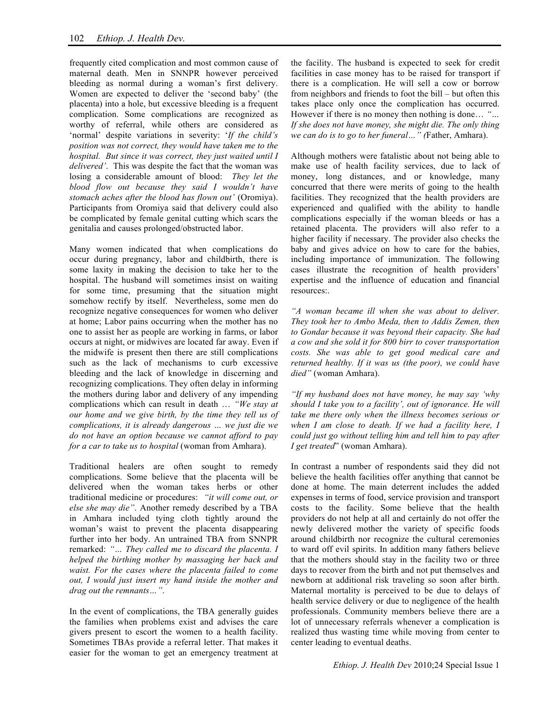frequently cited complication and most common cause of maternal death. Men in SNNPR however perceived bleeding as normal during a woman's first delivery. Women are expected to deliver the 'second baby' (the placenta) into a hole, but excessive bleeding is a frequent complication. Some complications are recognized as worthy of referral, while others are considered as 'normal' despite variations in severity: '*If the child's position was not correct, they would have taken me to the hospital. But since it was correct, they just waited until I delivered'*. This was despite the fact that the woman was losing a considerable amount of blood: *They let the blood flow out because they said I wouldn't have stomach aches after the blood has flown out'* (Oromiya). Participants from Oromiya said that delivery could also be complicated by female genital cutting which scars the genitalia and causes prolonged/obstructed labor.

Many women indicated that when complications do occur during pregnancy, labor and childbirth, there is some laxity in making the decision to take her to the hospital. The husband will sometimes insist on waiting for some time, presuming that the situation might somehow rectify by itself. Nevertheless, some men do recognize negative consequences for women who deliver at home; Labor pains occurring when the mother has no one to assist her as people are working in farms, or labor occurs at night, or midwives are located far away. Even if the midwife is present then there are still complications such as the lack of mechanisms to curb excessive bleeding and the lack of knowledge in discerning and recognizing complications. They often delay in informing the mothers during labor and delivery of any impending complications which can result in death … *"We stay at our home and we give birth, by the time they tell us of complications, it is already dangerous … we just die we do not have an option because we cannot afford to pay for a car to take us to hospital* (woman from Amhara).

Traditional healers are often sought to remedy complications. Some believe that the placenta will be delivered when the woman takes herbs or other traditional medicine or procedures: *"it will come out, or else she may die"*. Another remedy described by a TBA in Amhara included tying cloth tightly around the woman's waist to prevent the placenta disappearing further into her body. An untrained TBA from SNNPR remarked: *"… They called me to discard the placenta. I helped the birthing mother by massaging her back and waist. For the cases where the placenta failed to come out, I would just insert my hand inside the mother and drag out the remnants…"*.

In the event of complications, the TBA generally guides the families when problems exist and advises the care givers present to escort the women to a health facility. Sometimes TBAs provide a referral letter. That makes it easier for the woman to get an emergency treatment at the facility. The husband is expected to seek for credit facilities in case money has to be raised for transport if there is a complication. He will sell a cow or borrow from neighbors and friends to foot the bill – but often this takes place only once the complication has occurred. However if there is no money then nothing is done… *"… If she does not have money, she might die. The only thing we can do is to go to her funeral…" (*Father, Amhara).

Although mothers were fatalistic about not being able to make use of health facility services, due to lack of money, long distances, and or knowledge, many concurred that there were merits of going to the health facilities. They recognized that the health providers are experienced and qualified with the ability to handle complications especially if the woman bleeds or has a retained placenta. The providers will also refer to a higher facility if necessary. The provider also checks the baby and gives advice on how to care for the babies, including importance of immunization. The following cases illustrate the recognition of health providers' expertise and the influence of education and financial resources:.

*"A woman became ill when she was about to deliver. They took her to Ambo Meda, then to Addis Zemen, then to Gondar because it was beyond their capacity. She had a cow and she sold it for 800 birr to cover transportation costs. She was able to get good medical care and returned healthy. If it was us (the poor), we could have died"* (woman Amhara).

*"If my husband does not have money, he may say 'why should I take you to a facility', out of ignorance. He will take me there only when the illness becomes serious or when I am close to death. If we had a facility here, I could just go without telling him and tell him to pay after I get treated*" (woman Amhara).

In contrast a number of respondents said they did not believe the health facilities offer anything that cannot be done at home. The main deterrent includes the added expenses in terms of food, service provision and transport costs to the facility. Some believe that the health providers do not help at all and certainly do not offer the newly delivered mother the variety of specific foods around childbirth nor recognize the cultural ceremonies to ward off evil spirits. In addition many fathers believe that the mothers should stay in the facility two or three days to recover from the birth and not put themselves and newborn at additional risk traveling so soon after birth. Maternal mortality is perceived to be due to delays of health service delivery or due to negligence of the health professionals. Community members believe there are a lot of unnecessary referrals whenever a complication is realized thus wasting time while moving from center to center leading to eventual deaths.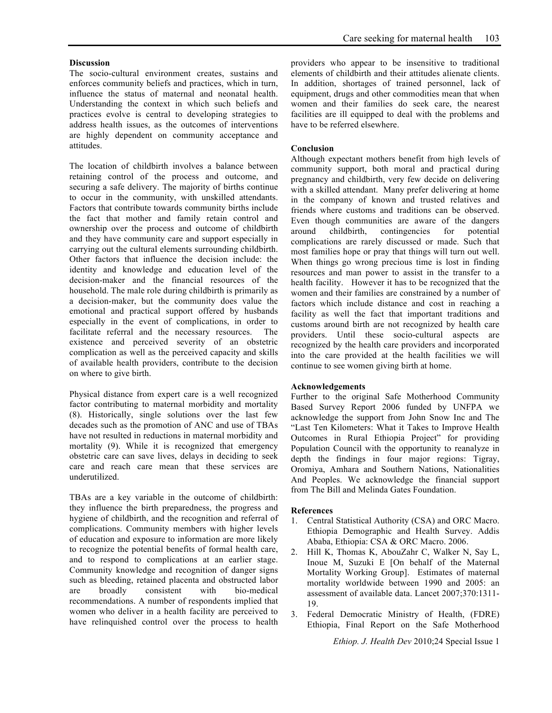#### **Discussion**

The socio-cultural environment creates, sustains and enforces community beliefs and practices, which in turn, influence the status of maternal and neonatal health. Understanding the context in which such beliefs and practices evolve is central to developing strategies to address health issues, as the outcomes of interventions are highly dependent on community acceptance and attitudes.

The location of childbirth involves a balance between retaining control of the process and outcome, and securing a safe delivery. The majority of births continue to occur in the community, with unskilled attendants. Factors that contribute towards community births include the fact that mother and family retain control and ownership over the process and outcome of childbirth and they have community care and support especially in carrying out the cultural elements surrounding childbirth. Other factors that influence the decision include: the identity and knowledge and education level of the decision-maker and the financial resources of the household. The male role during childbirth is primarily as a decision-maker, but the community does value the emotional and practical support offered by husbands especially in the event of complications, in order to facilitate referral and the necessary resources. The existence and perceived severity of an obstetric complication as well as the perceived capacity and skills of available health providers, contribute to the decision on where to give birth.

Physical distance from expert care is a well recognized factor contributing to maternal morbidity and mortality (8). Historically, single solutions over the last few decades such as the promotion of ANC and use of TBAs have not resulted in reductions in maternal morbidity and mortality (9). While it is recognized that emergency obstetric care can save lives, delays in deciding to seek care and reach care mean that these services are underutilized.

TBAs are a key variable in the outcome of childbirth: they influence the birth preparedness, the progress and hygiene of childbirth, and the recognition and referral of complications. Community members with higher levels of education and exposure to information are more likely to recognize the potential benefits of formal health care, and to respond to complications at an earlier stage. Community knowledge and recognition of danger signs such as bleeding, retained placenta and obstructed labor are broadly consistent with bio-medical recommendations. A number of respondents implied that women who deliver in a health facility are perceived to have relinquished control over the process to health

providers who appear to be insensitive to traditional elements of childbirth and their attitudes alienate clients. In addition, shortages of trained personnel, lack of equipment, drugs and other commodities mean that when women and their families do seek care, the nearest facilities are ill equipped to deal with the problems and have to be referred elsewhere.

# **Conclusion**

Although expectant mothers benefit from high levels of community support, both moral and practical during pregnancy and childbirth, very few decide on delivering with a skilled attendant. Many prefer delivering at home in the company of known and trusted relatives and friends where customs and traditions can be observed. Even though communities are aware of the dangers around childbirth, contingencies for potential complications are rarely discussed or made. Such that most families hope or pray that things will turn out well. When things go wrong precious time is lost in finding resources and man power to assist in the transfer to a health facility. However it has to be recognized that the women and their families are constrained by a number of factors which include distance and cost in reaching a facility as well the fact that important traditions and customs around birth are not recognized by health care providers. Until these socio-cultural aspects are recognized by the health care providers and incorporated into the care provided at the health facilities we will continue to see women giving birth at home.

## **Acknowledgements**

Further to the original Safe Motherhood Community Based Survey Report 2006 funded by UNFPA we acknowledge the support from John Snow Inc and The "Last Ten Kilometers: What it Takes to Improve Health Outcomes in Rural Ethiopia Project" for providing Population Council with the opportunity to reanalyze in depth the findings in four major regions: Tigray, Oromiya, Amhara and Southern Nations, Nationalities And Peoples. We acknowledge the financial support from The Bill and Melinda Gates Foundation.

#### **References**

- 1. Central Statistical Authority (CSA) and ORC Macro. Ethiopia Demographic and Health Survey. Addis Ababa, Ethiopia: CSA & ORC Macro. 2006.
- 2. Hill K, Thomas K, AbouZahr C, Walker N, Say L, Inoue M, Suzuki E [On behalf of the Maternal Mortality Working Group]. Estimates of maternal mortality worldwide between 1990 and 2005: an assessment of available data. Lancet 2007;370:1311- 19.
- 3. Federal Democratic Ministry of Health, (FDRE) Ethiopia, Final Report on the Safe Motherhood

*Ethiop. J. Health Dev* 2010;24 Special Issue 1